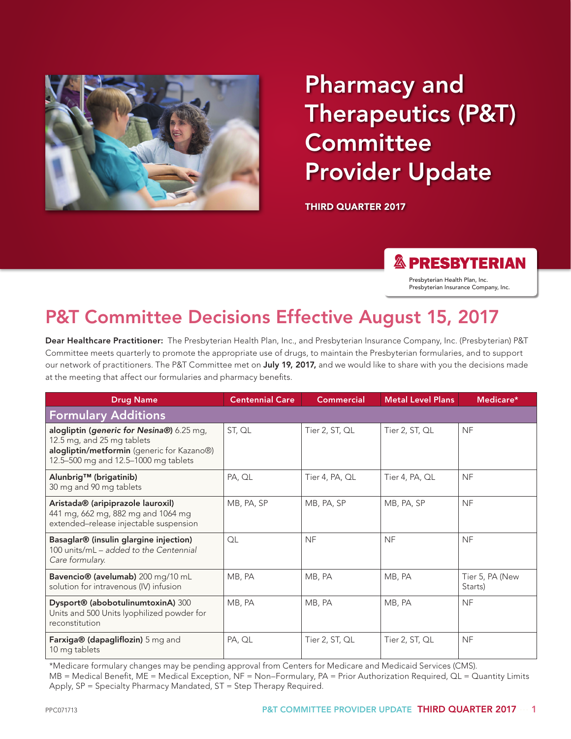

# Pharmacy and Therapeutics (P&T) **Committee** Provider Update

THIRD QUARTER 2017

### **& PRESBYTERIAN**

Presbyterian Health Plan, Inc. Presbyterian Insurance Company, Inc.

# P&T Committee Decisions Effective August 15, 2017

Dear Healthcare Practitioner: The Presbyterian Health Plan, Inc., and Presbyterian Insurance Company, Inc. (Presbyterian) P&T Committee meets quarterly to promote the appropriate use of drugs, to maintain the Presbyterian formularies, and to support our network of practitioners. The P&T Committee met on July 19, 2017, and we would like to share with you the decisions made at the meeting that affect our formularies and pharmacy benefits.

| <b>Drug Name</b>                                                                                                                                              | <b>Centennial Care</b> | <b>Commercial</b> | <b>Metal Level Plans</b> | Medicare*                  |
|---------------------------------------------------------------------------------------------------------------------------------------------------------------|------------------------|-------------------|--------------------------|----------------------------|
| <b>Formulary Additions</b>                                                                                                                                    |                        |                   |                          |                            |
| alogliptin (generic for Nesina®) 6.25 mg,<br>12.5 mg, and 25 mg tablets<br>alogliptin/metformin (generic for Kazano®)<br>12.5-500 mg and 12.5-1000 mg tablets | ST, QL                 | Tier 2, ST, QL    | Tier 2, ST, QL           | <b>NF</b>                  |
| Alunbrig <sup>™</sup> (brigatinib)<br>30 mg and 90 mg tablets                                                                                                 | PA, QL                 | Tier 4, PA, QL    | Tier 4, PA, QL           | <b>NF</b>                  |
| Aristada® (aripiprazole lauroxil)<br>441 mg, 662 mg, 882 mg and 1064 mg<br>extended-release injectable suspension                                             | MB, PA, SP             | MB, PA, SP        | MB, PA, SP               | <b>NF</b>                  |
| Basaglar® (insulin glargine injection)<br>100 units/mL - added to the Centennial<br>Care formulary.                                                           | QL                     | <b>NF</b>         | <b>NF</b>                | <b>NF</b>                  |
| Bavencio® (avelumab) 200 mg/10 mL<br>solution for intravenous (IV) infusion                                                                                   | MB, PA                 | MB, PA            | MB, PA                   | Tier 5, PA (New<br>Starts) |
| Dysport® (abobotulinumtoxinA) 300<br>Units and 500 Units lyophilized powder for<br>reconstitution                                                             | MB, PA                 | MB, PA            | MB, PA                   | <b>NF</b>                  |
| Farxiga® (dapagliflozin) 5 mg and<br>10 mg tablets                                                                                                            | PA, QL                 | Tier 2, ST, QL    | Tier 2, ST, QL           | <b>NF</b>                  |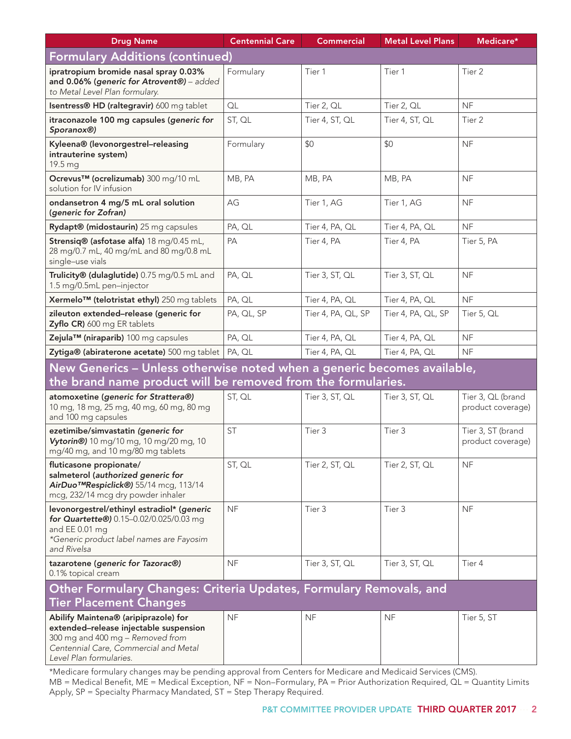| <b>Drug Name</b>                                                                                                                                                                       | <b>Centennial Care</b> | <b>Commercial</b>  | <b>Metal Level Plans</b> | Medicare*                              |
|----------------------------------------------------------------------------------------------------------------------------------------------------------------------------------------|------------------------|--------------------|--------------------------|----------------------------------------|
| <b>Formulary Additions (continued)</b>                                                                                                                                                 |                        |                    |                          |                                        |
| ipratropium bromide nasal spray 0.03%<br>and 0.06% (generic for Atrovent®) - added<br>to Metal Level Plan formulary.                                                                   | Formulary              | Tier 1             | Tier 1                   | Tier 2                                 |
| Isentress® HD (raltegravir) 600 mg tablet                                                                                                                                              | QL                     | Tier 2, QL         | Tier 2, QL               | <b>NF</b>                              |
| itraconazole 100 mg capsules (generic for<br>Sporanox <sup>®</sup> )                                                                                                                   | ST, QL                 | Tier 4, ST, QL     | Tier 4, ST, QL           | Tier 2                                 |
| Kyleena® (levonorgestrel-releasing<br>intrauterine system)<br>19.5 mg                                                                                                                  | Formulary              | \$0                | \$0                      | <b>NF</b>                              |
| Ocrevus™ (ocrelizumab) 300 mg/10 mL<br>solution for IV infusion                                                                                                                        | MB, PA                 | MB, PA             | MB, PA                   | <b>NF</b>                              |
| ondansetron 4 mg/5 mL oral solution<br>(generic for Zofran)                                                                                                                            | AG                     | Tier 1, AG         | Tier 1, AG               | <b>NF</b>                              |
| Rydapt® (midostaurin) 25 mg capsules                                                                                                                                                   | PA, QL                 | Tier 4, PA, QL     | Tier 4, PA, QL           | <b>NF</b>                              |
| Strensiq® (asfotase alfa) 18 mg/0.45 mL,<br>28 mg/0.7 mL, 40 mg/mL and 80 mg/0.8 mL<br>single-use vials                                                                                | PA                     | Tier 4, PA         | Tier 4, PA               | Tier 5, PA                             |
| Trulicity® (dulaglutide) 0.75 mg/0.5 mL and<br>1.5 mg/0.5mL pen-injector                                                                                                               | PA, QL                 | Tier 3, ST, QL     | Tier 3, ST, QL           | NF                                     |
| Xermelo <sup>™</sup> (telotristat ethyl) 250 mg tablets                                                                                                                                | PA, QL                 | Tier 4, PA, QL     | Tier 4, PA, QL           | <b>NF</b>                              |
| zileuton extended-release (generic for<br>Zyflo CR) 600 mg ER tablets                                                                                                                  | PA, QL, SP             | Tier 4, PA, QL, SP | Tier 4, PA, QL, SP       | Tier 5, QL                             |
| Zejula™ (niraparib) 100 mg capsules                                                                                                                                                    | PA, QL                 | Tier 4, PA, QL     | Tier 4, PA, QL           | NF                                     |
| Zytiga® (abiraterone acetate) 500 mg tablet   PA, QL                                                                                                                                   |                        | Tier 4, PA, QL     | Tier 4, PA, QL           | <b>NF</b>                              |
| New Generics - Unless otherwise noted when a generic becomes available,<br>the brand name product will be removed from the formularies.                                                |                        |                    |                          |                                        |
| atomoxetine (generic for Strattera®)<br>10 mg, 18 mg, 25 mg, 40 mg, 60 mg, 80 mg<br>and 100 mg capsules                                                                                | ST, QL                 | Tier 3, ST, QL     | Tier 3, ST, QL           | Tier 3, QL (brand<br>product coverage) |
| ezetimibe/simvastatin (generic for<br>Vytorin®) 10 mg/10 mg, 10 mg/20 mg, 10<br>mg/40 mg, and 10 mg/80 mg tablets                                                                      | <b>ST</b>              | Tier 3             | Tier 3                   | Tier 3, ST (brand<br>product coverage) |
| fluticasone propionate/<br>salmeterol (authorized generic for<br>AirDuo <sup>™</sup> Respiclick <sup>®</sup> ) 55/14 mcg, 113/14<br>mcg, 232/14 mcg dry powder inhaler                 | ST, QL                 | Tier 2, ST, QL     | Tier 2, ST, QL           | <b>NF</b>                              |
| levonorgestrel/ethinyl estradiol* (generic<br>for Quartette®) 0.15-0.02/0.025/0.03 mg<br>and EE 0.01 mg<br>*Generic product label names are Fayosim<br>and Rivelsa                     | <b>NF</b>              | Tier 3             | Tier 3                   | <b>NF</b>                              |
| tazarotene (generic for Tazorac®)<br>0.1% topical cream                                                                                                                                | <b>NF</b>              | Tier 3, ST, QL     | Tier 3, ST, QL           | Tier 4                                 |
| Other Formulary Changes: Criteria Updates, Formulary Removals, and<br><b>Tier Placement Changes</b>                                                                                    |                        |                    |                          |                                        |
| Abilify Maintena® (aripiprazole) for<br>extended-release injectable suspension<br>300 mg and 400 mg - Removed from<br>Centennial Care, Commercial and Metal<br>Level Plan formularies. | <b>NF</b>              | <b>NF</b>          | <b>NF</b>                | Tier 5, ST                             |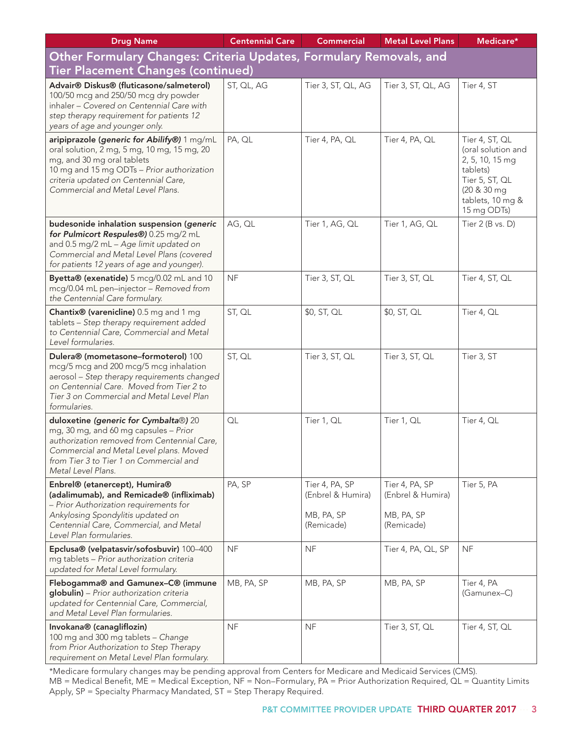| <b>Drug Name</b>                                                                                                                                                                                                                                    | <b>Centennial Care</b> | <b>Commercial</b>                                               | <b>Metal Level Plans</b>                                        | Medicare*                                                                                                                               |
|-----------------------------------------------------------------------------------------------------------------------------------------------------------------------------------------------------------------------------------------------------|------------------------|-----------------------------------------------------------------|-----------------------------------------------------------------|-----------------------------------------------------------------------------------------------------------------------------------------|
| Other Formulary Changes: Criteria Updates, Formulary Removals, and                                                                                                                                                                                  |                        |                                                                 |                                                                 |                                                                                                                                         |
| <b>Tier Placement Changes (continued)</b>                                                                                                                                                                                                           |                        |                                                                 |                                                                 |                                                                                                                                         |
| Advair® Diskus® (fluticasone/salmeterol)<br>100/50 mcg and 250/50 mcg dry powder<br>inhaler - Covered on Centennial Care with<br>step therapy requirement for patients 12<br>years of age and younger only.                                         | ST, QL, AG             | Tier 3, ST, QL, AG                                              | Tier 3, ST, QL, AG                                              | Tier 4, ST                                                                                                                              |
| aripiprazole (generic for Abilify®) 1 mg/mL<br>oral solution, 2 mg, 5 mg, 10 mg, 15 mg, 20<br>mg, and 30 mg oral tablets<br>10 mg and 15 mg ODTs - Prior authorization<br>criteria updated on Centennial Care,<br>Commercial and Metal Level Plans. | PA, QL                 | Tier 4, PA, QL                                                  | Tier 4, PA, QL                                                  | Tier 4, ST, QL<br>(oral solution and<br>2, 5, 10, 15 mg<br>tablets)<br>Tier 5, ST, QL<br>(20 & 30 mg<br>tablets, 10 mg &<br>15 mg ODTs) |
| budesonide inhalation suspension (generic<br>for Pulmicort Respules®) 0.25 mg/2 mL<br>and 0.5 mg/2 mL - Age limit updated on<br>Commercial and Metal Level Plans (covered<br>for patients 12 years of age and younger).                             | AG, QL                 | Tier 1, AG, QL                                                  | Tier 1, AG, QL                                                  | Tier $2$ (B vs. D)                                                                                                                      |
| Byetta® (exenatide) 5 mcg/0.02 mL and 10<br>mcg/0.04 mL pen-injector - Removed from<br>the Centennial Care formulary.                                                                                                                               | <b>NF</b>              | Tier 3, ST, QL                                                  | Tier 3, ST, QL                                                  | Tier 4, ST, QL                                                                                                                          |
| Chantix <sup>®</sup> (varenicline) 0.5 mg and 1 mg<br>tablets - Step therapy requirement added<br>to Centennial Care, Commercial and Metal<br>Level formularies.                                                                                    | ST, QL                 | \$0, ST, QL                                                     | \$0, ST, QL                                                     | Tier 4, QL                                                                                                                              |
| Dulera® (mometasone-formoterol) 100<br>mcg/5 mcg and 200 mcg/5 mcg inhalation<br>aerosol - Step therapy requirements changed<br>on Centennial Care. Moved from Tier 2 to<br>Tier 3 on Commercial and Metal Level Plan<br>formularies.               | ST, QL                 | Tier 3, ST, QL                                                  | Tier 3, ST, QL                                                  | Tier 3, ST                                                                                                                              |
| duloxetine (generic for Cymbalta®) 20<br>mg, 30 mg, and 60 mg capsules - Prior<br>authorization removed from Centennial Care,<br>Commercial and Metal Level plans. Moved<br>from Tier 3 to Tier 1 on Commercial and<br>Metal Level Plans.           | OL                     | Tier 1, QL                                                      | Tier 1, QL                                                      | Tier 4, QL                                                                                                                              |
| Enbrel® (etanercept), Humira®<br>(adalimumab), and Remicade® (infliximab)<br>- Prior Authorization requirements for<br>Ankylosing Spondylitis updated on<br>Centennial Care, Commercial, and Metal<br>Level Plan formularies.                       | PA, SP                 | Tier 4, PA, SP<br>(Enbrel & Humira)<br>MB, PA, SP<br>(Remicade) | Tier 4, PA, SP<br>(Enbrel & Humira)<br>MB, PA, SP<br>(Remicade) | Tier 5, PA                                                                                                                              |
| Epclusa® (velpatasvir/sofosbuvir) 100-400<br>mg tablets - Prior authorization criteria<br>updated for Metal Level formulary.                                                                                                                        | <b>NF</b>              | <b>NF</b>                                                       | Tier 4, PA, QL, SP                                              | <b>NF</b>                                                                                                                               |
| Flebogamma® and Gamunex-C® (immune<br>globulin) - Prior authorization criteria<br>updated for Centennial Care, Commercial,<br>and Metal Level Plan formularies.                                                                                     | MB, PA, SP             | MB, PA, SP                                                      | MB, PA, SP                                                      | Tier 4, PA<br>(Gamunex-C)                                                                                                               |
| Invokana® (canagliflozin)<br>100 mg and 300 mg tablets - Change<br>from Prior Authorization to Step Therapy<br>requirement on Metal Level Plan formulary.                                                                                           | <b>NF</b>              | <b>NF</b>                                                       | Tier 3, ST, QL                                                  | Tier 4, ST, QL                                                                                                                          |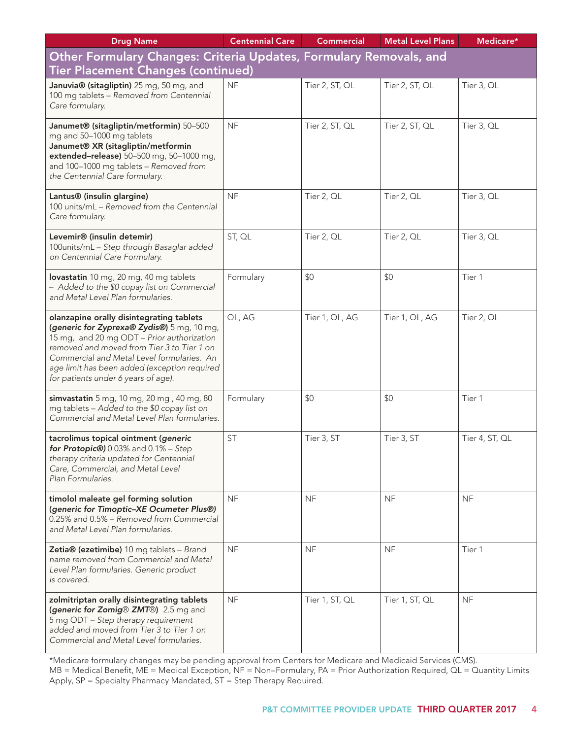| <b>Drug Name</b>                                                                                                                                                                                                                                                                                                        | <b>Centennial Care</b> | <b>Commercial</b> | <b>Metal Level Plans</b> | Medicare*      |
|-------------------------------------------------------------------------------------------------------------------------------------------------------------------------------------------------------------------------------------------------------------------------------------------------------------------------|------------------------|-------------------|--------------------------|----------------|
| Other Formulary Changes: Criteria Updates, Formulary Removals, and                                                                                                                                                                                                                                                      |                        |                   |                          |                |
| Tier Placement Changes (continued)                                                                                                                                                                                                                                                                                      |                        |                   |                          |                |
| Januvia® (sitagliptin) 25 mg, 50 mg, and<br>100 mg tablets - Removed from Centennial<br>Care formulary.                                                                                                                                                                                                                 | <b>NF</b>              | Tier 2, ST, QL    | Tier 2, ST, QL           | Tier 3, QL     |
| Janumet® (sitagliptin/metformin) 50-500<br>mg and 50-1000 mg tablets<br>Janumet® XR (sitagliptin/metformin<br>extended-release) 50-500 mg, 50-1000 mg,<br>and 100-1000 mg tablets - Removed from<br>the Centennial Care formulary.                                                                                      | <b>NF</b>              | Tier 2, ST, QL    | Tier 2, ST, QL           | Tier 3, QL     |
| Lantus® (insulin glargine)<br>100 units/mL - Removed from the Centennial<br>Care formulary.                                                                                                                                                                                                                             | <b>NF</b>              | Tier 2, QL        | Tier 2, QL               | Tier 3, QL     |
| Levemir® (insulin detemir)<br>100units/mL - Step through Basaglar added<br>on Centennial Care Formulary.                                                                                                                                                                                                                | ST, QL                 | Tier 2, QL        | Tier 2, QL               | Tier 3, QL     |
| lovastatin 10 mg, 20 mg, 40 mg tablets<br>- Added to the \$0 copay list on Commercial<br>and Metal Level Plan formularies.                                                                                                                                                                                              | Formulary              | \$0               | \$0                      | Tier 1         |
| olanzapine orally disintegrating tablets<br>(generic for Zyprexa® Zydis®) 5 mg, 10 mg,<br>15 mg, and 20 mg ODT - Prior authorization<br>removed and moved from Tier 3 to Tier 1 on<br>Commercial and Metal Level formularies. An<br>age limit has been added (exception required<br>for patients under 6 years of age). | QL, AG                 | Tier 1, QL, AG    | Tier 1, QL, AG           | Tier 2, QL     |
| simvastatin 5 mg, 10 mg, 20 mg, 40 mg, 80<br>mg tablets - Added to the \$0 copay list on<br>Commercial and Metal Level Plan formularies.                                                                                                                                                                                | Formulary              | \$0               | \$0                      | Tier 1         |
| tacrolimus topical ointment (generic<br>for Protopic®) 0.03% and 0.1% - Step<br>therapy criteria updated for Centennial<br>Care, Commercial, and Metal Level<br>Plan Formularies.                                                                                                                                       | <b>ST</b>              | Tier 3, ST        | Tier 3, ST               | Tier 4, ST, QL |
| timolol maleate gel forming solution<br>(generic for Timoptic-XE Ocumeter Plus®)<br>0.25% and 0.5% - Removed from Commercial<br>and Metal Level Plan formularies.                                                                                                                                                       | <b>NF</b>              | <b>NF</b>         | <b>NF</b>                | <b>NF</b>      |
| Zetia® (ezetimibe) 10 mg tablets - Brand<br>name removed from Commercial and Metal<br>Level Plan formularies. Generic product<br>is covered.                                                                                                                                                                            | <b>NF</b>              | <b>NF</b>         | <b>NF</b>                | Tier 1         |
| zolmitriptan orally disintegrating tablets<br>(generic for Zomig® ZMT®) 2.5 mg and<br>5 mg ODT - Step therapy requirement<br>added and moved from Tier 3 to Tier 1 on<br>Commercial and Metal Level formularies.                                                                                                        | <b>NF</b>              | Tier 1, ST, QL    | Tier 1, ST, QL           | <b>NF</b>      |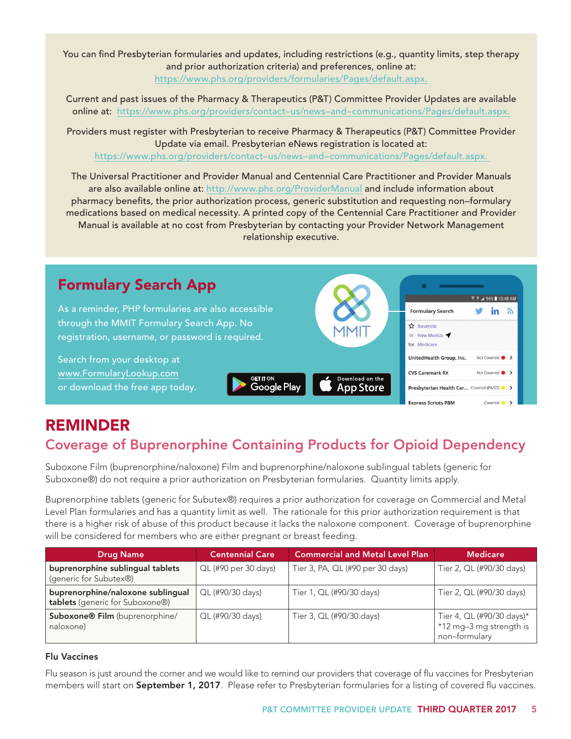You can find Presbyterian formularies and updates, including restrictions (e.g., quantity limits, step therapy and prior authorization criteria) and preferences, online at: https://www.phs.org/providers/formularies/Pages/default.aspx.

Current and past issues of the Pharmacy & Therapeutics (P&T) Committee Provider Updates are available online at: https://www.phs.org/providers/contact–us/news–and–communications/Pages/default.aspx.

Providers must register with Presbyterian to receive Pharmacy & Therapeutics (P&T) Committee Provider Update via email. Presbyterian eNews registration is located at: https://www.phs.org/providers/contact–us/news–and–communications/Pages/default.aspx.

The Universal Practitioner and Provider Manual and Centennial Care Practitioner and Provider Manuals are also available online at: http://www.phs.org/ProviderManual and include information about pharmacy benefits, the prior authorization process, generic substitution and requesting non–formulary medications based on medical necessity. A printed copy of the Centennial Care Practitioner and Provider Manual is available at no cost from Presbyterian by contacting your Provider Network Management relationship executive.



# REMINDER

# Coverage of Buprenorphine Containing Products for Opioid Dependency

Suboxone Film (buprenorphine/naloxone) Film and buprenorphine/naloxone sublingual tablets (generic for Suboxone®) do not require a prior authorization on Presbyterian formularies. Quantity limits apply.

Buprenorphine tablets (generic for Subutex®) requires a prior authorization for coverage on Commercial and Metal Level Plan formularies and has a quantity limit as well. The rationale for this prior authorization requirement is that there is a higher risk of abuse of this product because it lacks the naloxone component. Coverage of buprenorphine will be considered for members who are either pregnant or breast feeding.

| <b>Drug Name</b>                                                     | <b>Centennial Care</b> | <b>Commercial and Metal Level Plan</b> | <b>Medicare</b>                                                       |
|----------------------------------------------------------------------|------------------------|----------------------------------------|-----------------------------------------------------------------------|
| buprenorphine sublingual tablets<br>(generic for Subutex®)           | QL (#90 per 30 days)   | Tier 3, PA, QL (#90 per 30 days)       | Tier 2, QL (#90/30 days)                                              |
| buprenorphine/naloxone sublingual<br>tablets (generic for Suboxone®) | QL (#90/30 days)       | Tier 1, QL (#90/30 days)               | Tier 2, QL (#90/30 days)                                              |
| Suboxone® Film (buprenorphine/<br>naloxone)                          | QL (#90/30 days)       | Tier 3, QL (#90/30 days)               | Tier 4, QL (#90/30 days)*<br>*12 mg-3 mg strength is<br>non-formulary |

#### Flu Vaccines

Flu season is just around the corner and we would like to remind our providers that coverage of flu vaccines for Presbyterian members will start on September 1, 2017. Please refer to Presbyterian formularies for a listing of covered flu vaccines.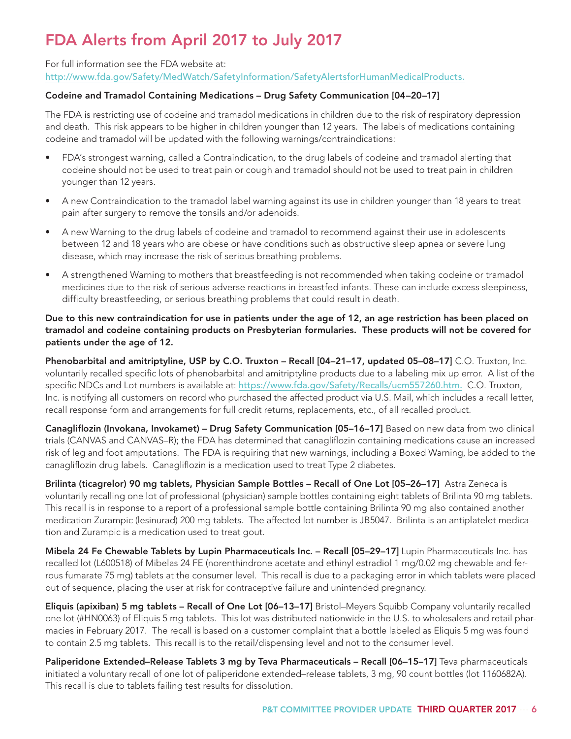# FDA Alerts from April 2017 to July 2017

For full information see the FDA website at: http://www.fda.gov/Safety/MedWatch/SafetyInformation/SafetyAlertsforHumanMedicalProducts.

### Codeine and Tramadol Containing Medications – Drug Safety Communication [04–20–17]

The FDA is restricting use of codeine and tramadol medications in children due to the risk of respiratory depression and death. This risk appears to be higher in children younger than 12 years. The labels of medications containing codeine and tramadol will be updated with the following warnings/contraindications:

- FDA's strongest warning, called a Contraindication, to the drug labels of codeine and tramadol alerting that codeine should not be used to treat pain or cough and tramadol should not be used to treat pain in children younger than 12 years.
- A new Contraindication to the tramadol label warning against its use in children younger than 18 years to treat pain after surgery to remove the tonsils and/or adenoids.
- A new Warning to the drug labels of codeine and tramadol to recommend against their use in adolescents between 12 and 18 years who are obese or have conditions such as obstructive sleep apnea or severe lung disease, which may increase the risk of serious breathing problems.
- A strengthened Warning to mothers that breastfeeding is not recommended when taking codeine or tramadol medicines due to the risk of serious adverse reactions in breastfed infants. These can include excess sleepiness, difficulty breastfeeding, or serious breathing problems that could result in death.

#### Due to this new contraindication for use in patients under the age of 12, an age restriction has been placed on tramadol and codeine containing products on Presbyterian formularies. These products will not be covered for patients under the age of 12.

Phenobarbital and amitriptyline, USP by C.O. Truxton – Recall [04–21–17, updated 05–08–17] C.O. Truxton, Inc. voluntarily recalled specific lots of phenobarbital and amitriptyline products due to a labeling mix up error. A list of the specific NDCs and Lot numbers is available at: https://www.fda.gov/Safety/Recalls/ucm557260.htm. C.O. Truxton, Inc. is notifying all customers on record who purchased the affected product via U.S. Mail, which includes a recall letter, recall response form and arrangements for full credit returns, replacements, etc., of all recalled product.

Canagliflozin (Invokana, Invokamet) – Drug Safety Communication [05–16–17] Based on new data from two clinical trials (CANVAS and CANVAS–R); the FDA has determined that canagliflozin containing medications cause an increased risk of leg and foot amputations. The FDA is requiring that new warnings, including a Boxed Warning, be added to the canagliflozin drug labels. Canagliflozin is a medication used to treat Type 2 diabetes.

Brilinta (ticagrelor) 90 mg tablets, Physician Sample Bottles - Recall of One Lot [05-26-17] Astra Zeneca is voluntarily recalling one lot of professional (physician) sample bottles containing eight tablets of Brilinta 90 mg tablets. This recall is in response to a report of a professional sample bottle containing Brilinta 90 mg also contained another medication Zurampic (lesinurad) 200 mg tablets. The affected lot number is JB5047. Brilinta is an antiplatelet medication and Zurampic is a medication used to treat gout.

Mibela 24 Fe Chewable Tablets by Lupin Pharmaceuticals Inc. – Recall [05–29–17] Lupin Pharmaceuticals Inc. has recalled lot (L600518) of Mibelas 24 FE (norenthindrone acetate and ethinyl estradiol 1 mg/0.02 mg chewable and ferrous fumarate 75 mg) tablets at the consumer level. This recall is due to a packaging error in which tablets were placed out of sequence, placing the user at risk for contraceptive failure and unintended pregnancy.

Eliquis (apixiban) 5 mg tablets – Recall of One Lot [06–13–17] Bristol–Meyers Squibb Company voluntarily recalled one lot (#HN0063) of Eliquis 5 mg tablets. This lot was distributed nationwide in the U.S. to wholesalers and retail pharmacies in February 2017. The recall is based on a customer complaint that a bottle labeled as Eliquis 5 mg was found to contain 2.5 mg tablets. This recall is to the retail/dispensing level and not to the consumer level.

Paliperidone Extended-Release Tablets 3 mg by Teva Pharmaceuticals - Recall [06-15-17] Teva pharmaceuticals initiated a voluntary recall of one lot of paliperidone extended–release tablets, 3 mg, 90 count bottles (lot 1160682A). This recall is due to tablets failing test results for dissolution.